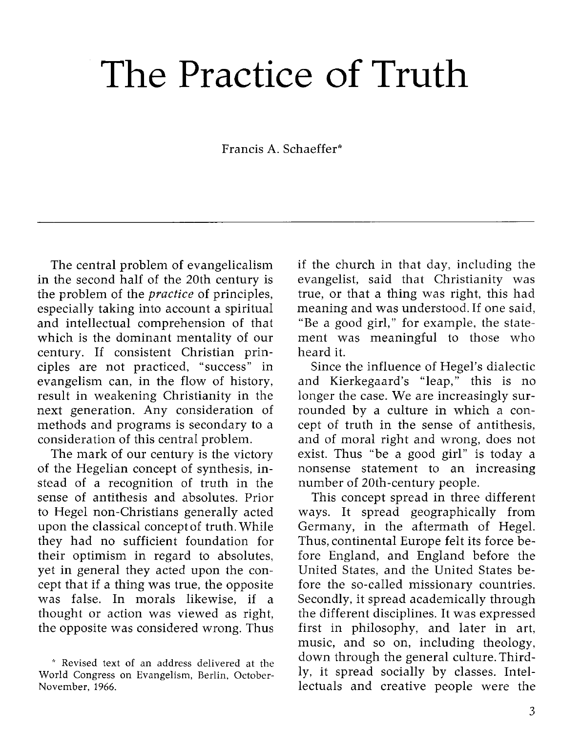## **The Practice of Truth**

## Francis A. Schaeffer\*

The central problem of evangelicalism in the second half of the 20th century is the problem of the *practice* of principles, especially taking into account a spiritual and intellectual comprehension of that which is the dominant mentality of our century. If consistent Christian principles are not practiced, "success" in evangelism can, in the flow of history, result in weakening Christianity in the next generation. Any consideration of methods and programs is secondary to a consideration of this central problem.

The mark of our century is the victory of the Hegelian concept of synthesis, instead of a recognition of truth in the sense of antithesis and absolutes. Prior to Hegel non-Christians generally acted upon the classical concept of truth. While they had no sufficient foundation for their optimism in regard to absolutes, yet in general they acted upon the concept that if a thing was true, the opposite was false. In morals likewise, if a thought or action was viewed as right, the opposite was considered wrong. Thus if the church in that day, including the evangelist, said that Christianity was true, or that a thing was right, this had meaning and was understood. If one said, "Be a good girl," for example, the statement was meaningful to those who heard it.

Since the influence of Hegel's dialectic and Kierkegaard's "leap," this is no longer the case. We are increasingly surrounded by a culture in which a concept of truth in the sense of antithesis, and of moral right and wrong, does not exist. Thus "be a good girl" is today a nonsense statement to an increasing number of 20th-century people.

This concept spread in three different ways. It spread geographically from Germany, in the aftermath of Hegel. Thus, continental Europe felt its force before England, and England before the United States, and the United States before the so-called missionary countries. Secondly, it spread academically through the different disciplines. It was expressed first in philosophy, and later in art, music, and so on, including theology, down through the general culture. Thirdly, it spread socially by classes. Intellectuals and creative people were the

<sup>\*</sup> Revised text of an address delivered at the World Congress on Evangelism, Berlin, October-November, 1966.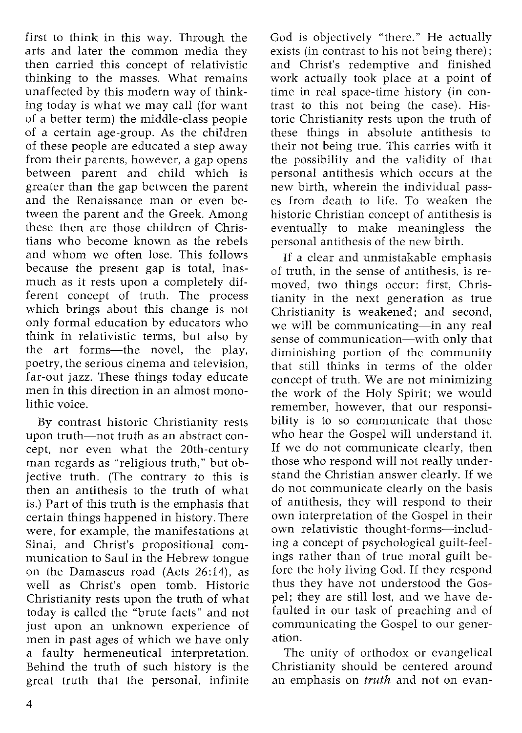first to think in this way. Through the arts and later the common media they then carried this concept of relativistic thinking to the masses. What remains unaffected by this modern way of thinking today is what we may call (for want of a better term) the middle-class people of a certain age-group. As the children of these people are educated a step away from their parents, however, a gap opens between parent and child which is greater than the gap between the parent and the Renaissance man or even between the parent and the Greek. Among these then are those children of Christians who become known as the rebels and whom we often lose. This follows because the present gap is total, inasmuch as it rests upon a completely different concept of truth. The process which brings about this change is not only formal education by educators who think in relativistic terms, but also by the art forms—the novel, the play, poetry, the serious cinema and television, far-out jazz. These things today educate men in this direction in an almost monolithic voice.

By contrast historic Christianity rests upon truth-not truth as an abstract concept, nor even what the 20th-century man regards as "religious truth," but objective truth. (The contrary to this is then an antithesis to the truth of what is.) Part of this truth is the emphasis that certain things happened in history. There were, for example, the manifestations at Sinai, and Christ's propositional communication to Saul in the Hebrew tongue on the Damascus road (Acts 26:14), as well as Christ's open tomb. Historic Christianity rests upon the truth of what today is called the "brute facts" and not just upon an unknown experience of men in past ages of which we have only a faulty hermeneutical interpretation. Behind the truth of such history is the great truth that the personal, infinite God is objectively "there." He actually exists (in contrast to his not being there): and Christ's redemptive and finished work actually took place at a point of time in real space-time history (in contrast to this not being the case). Historic Christianity rests upon the truth of these things in absolute antithesis to their not being true. This carries with it the possibility and the validity of that personal antithesis which occurs at the new birth, wherein the individual passes from death to life. To weaken the historic Christian concept of antithesis is eventually to make meaningless the personal antithesis of the new birth.

If a clear and unmistakable emphasis of truth, in the sense of antithesis, is removed, two things occur: first, Christianity in the next generation as true Christianity is weakened; and second, we will be communicating-in any real sense of communication—with only that diminishing portion of the community that still thinks in terms of the older concept of truth. We are not minimizing the work of the Holy Spirit; we would remember, however, that our responsibility is to so communicate that those who hear the Gospel will understand it. If we do not communicate clearly, then those who respond will not really understand the Christian answer clearly. If we do not communicate clearly on the basis of antithesis, they will respond to their own interpretation of the Gospel in their own relativistic thought-forms-including a concept of psychological guilt-feelings rather than of true moral guilt before the holy living God. If they respond thus they have not understood the Gospel; they are still lost, and we have defaulted in our task of preaching and of communicating the Gospel to our generation.

The unity of orthodox or evangelical Christianity should be centered around an emphasis on *truth* and not on evan-